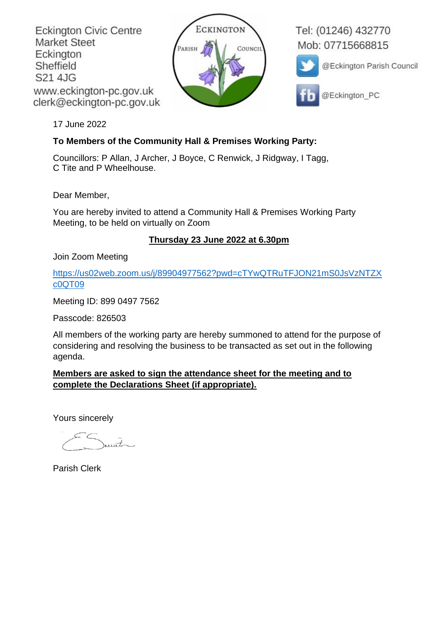**Eckington Civic Centre Market Steet** Eckington Sheffield S21 4JG www.eckington-pc.gov.uk clerk@eckington-pc.gov.uk



Tel: (01246) 432770 Mob: 07715668815



@Eckington Parish Council



@Eckington PC

17 June 2022

### **To Members of the Community Hall & Premises Working Party:**

Councillors: P Allan, J Archer, J Boyce, C Renwick, J Ridgway, I Tagg, C Tite and P Wheelhouse.

Dear Member,

You are hereby invited to attend a Community Hall & Premises Working Party Meeting, to be held on virtually on Zoom

# **Thursday 23 June 2022 at 6.30pm**

Join Zoom Meeting

[https://us02web.zoom.us/j/89904977562?pwd=cTYwQTRuTFJON21mS0JsVzNTZX](https://us02web.zoom.us/j/89904977562?pwd=cTYwQTRuTFJON21mS0JsVzNTZXc0QT09) [c0QT09](https://us02web.zoom.us/j/89904977562?pwd=cTYwQTRuTFJON21mS0JsVzNTZXc0QT09)

Meeting ID: 899 0497 7562

Passcode: 826503

All members of the working party are hereby summoned to attend for the purpose of considering and resolving the business to be transacted as set out in the following agenda.

## **Members are asked to sign the attendance sheet for the meeting and to complete the Declarations Sheet (if appropriate).**

Yours sincerely

unt

Parish Clerk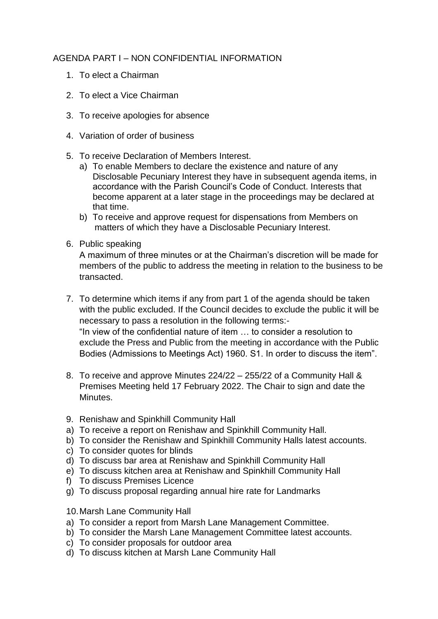#### AGENDA PART I – NON CONFIDENTIAL INFORMATION

- 1. To elect a Chairman
- 2. To elect a Vice Chairman
- 3. To receive apologies for absence
- 4. Variation of order of business
- 5. To receive Declaration of Members Interest.
	- a) To enable Members to declare the existence and nature of any Disclosable Pecuniary Interest they have in subsequent agenda items, in accordance with the Parish Council's Code of Conduct. Interests that become apparent at a later stage in the proceedings may be declared at that time.
	- b) To receive and approve request for dispensations from Members on matters of which they have a Disclosable Pecuniary Interest.
- 6. Public speaking

A maximum of three minutes or at the Chairman's discretion will be made for members of the public to address the meeting in relation to the business to be transacted.

- 7. To determine which items if any from part 1 of the agenda should be taken with the public excluded. If the Council decides to exclude the public it will be necessary to pass a resolution in the following terms:- "In view of the confidential nature of item … to consider a resolution to exclude the Press and Public from the meeting in accordance with the Public Bodies (Admissions to Meetings Act) 1960. S1. In order to discuss the item".
- 8. To receive and approve Minutes 224/22 255/22 of a Community Hall & Premises Meeting held 17 February 2022. The Chair to sign and date the Minutes.
- 9. Renishaw and Spinkhill Community Hall
- a) To receive a report on Renishaw and Spinkhill Community Hall.
- b) To consider the Renishaw and Spinkhill Community Halls latest accounts.
- c) To consider quotes for blinds
- d) To discuss bar area at Renishaw and Spinkhill Community Hall
- e) To discuss kitchen area at Renishaw and Spinkhill Community Hall
- f) To discuss Premises Licence
- g) To discuss proposal regarding annual hire rate for Landmarks
- 10.Marsh Lane Community Hall
- a) To consider a report from Marsh Lane Management Committee.
- b) To consider the Marsh Lane Management Committee latest accounts.
- c) To consider proposals for outdoor area
- d) To discuss kitchen at Marsh Lane Community Hall